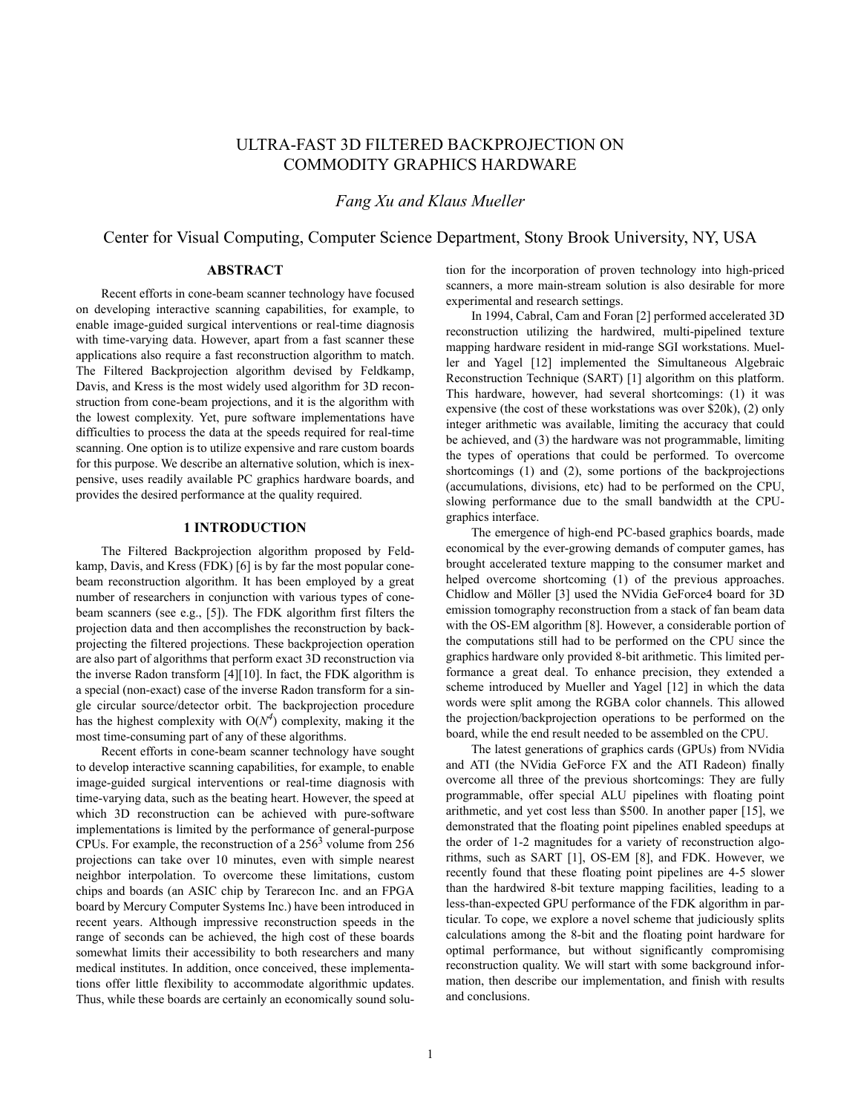# ULTRA-FAST 3D FILTERED BACKPROJECTION ON COMMODITY GRAPHICS HARDWARE

*Fang Xu and Klaus Mueller*

Center for Visual Computing, Computer Science Department, Stony Brook University, NY, USA

## **ABSTRACT**

Recent efforts in cone-beam scanner technology have focused on developing interactive scanning capabilities, for example, to enable image-guided surgical interventions or real-time diagnosis with time-varying data. However, apart from a fast scanner these applications also require a fast reconstruction algorithm to match. The Filtered Backprojection algorithm devised by Feldkamp, Davis, and Kress is the most widely used algorithm for 3D reconstruction from cone-beam projections, and it is the algorithm with the lowest complexity. Yet, pure software implementations have difficulties to process the data at the speeds required for real-time scanning. One option is to utilize expensive and rare custom boards for this purpose. We describe an alternative solution, which is inexpensive, uses readily available PC graphics hardware boards, and provides the desired performance at the quality required.

### **1 INTRODUCTION**

The Filtered Backprojection algorithm proposed by Feldkamp, Davis, and Kress (FDK) [6] is by far the most popular conebeam reconstruction algorithm. It has been employed by a great number of researchers in conjunction with various types of conebeam scanners (see e.g., [5]). The FDK algorithm first filters the projection data and then accomplishes the reconstruction by backprojecting the filtered projections. These backprojection operation are also part of algorithms that perform exact 3D reconstruction via the inverse Radon transform [4][10]. In fact, the FDK algorithm is a special (non-exact) case of the inverse Radon transform for a single circular source/detector orbit. The backprojection procedure has the highest complexity with  $O(N^4)$  complexity, making it the most time-consuming part of any of these algorithms.

Recent efforts in cone-beam scanner technology have sought to develop interactive scanning capabilities, for example, to enable image-guided surgical interventions or real-time diagnosis with time-varying data, such as the beating heart. However, the speed at which 3D reconstruction can be achieved with pure-software implementations is limited by the performance of general-purpose CPUs. For example, the reconstruction of a  $256<sup>3</sup>$  volume from 256 projections can take over 10 minutes, even with simple nearest neighbor interpolation. To overcome these limitations, custom chips and boards (an ASIC chip by Terarecon Inc. and an FPGA board by Mercury Computer Systems Inc.) have been introduced in recent years. Although impressive reconstruction speeds in the range of seconds can be achieved, the high cost of these boards somewhat limits their accessibility to both researchers and many medical institutes. In addition, once conceived, these implementations offer little flexibility to accommodate algorithmic updates. Thus, while these boards are certainly an economically sound solution for the incorporation of proven technology into high-priced scanners, a more main-stream solution is also desirable for more experimental and research settings.

In 1994, Cabral, Cam and Foran [2] performed accelerated 3D reconstruction utilizing the hardwired, multi-pipelined texture mapping hardware resident in mid-range SGI workstations. Mueller and Yagel [12] implemented the Simultaneous Algebraic Reconstruction Technique (SART) [1] algorithm on this platform. This hardware, however, had several shortcomings: (1) it was expensive (the cost of these workstations was over \$20k), (2) only integer arithmetic was available, limiting the accuracy that could be achieved, and (3) the hardware was not programmable, limiting the types of operations that could be performed. To overcome shortcomings (1) and (2), some portions of the backprojections (accumulations, divisions, etc) had to be performed on the CPU, slowing performance due to the small bandwidth at the CPUgraphics interface.

The emergence of high-end PC-based graphics boards, made economical by the ever-growing demands of computer games, has brought accelerated texture mapping to the consumer market and helped overcome shortcoming (1) of the previous approaches. Chidlow and Möller [3] used the NVidia GeForce4 board for 3D emission tomography reconstruction from a stack of fan beam data with the OS-EM algorithm [8]. However, a considerable portion of the computations still had to be performed on the CPU since the graphics hardware only provided 8-bit arithmetic. This limited performance a great deal. To enhance precision, they extended a scheme introduced by Mueller and Yagel [12] in which the data words were split among the RGBA color channels. This allowed the projection/backprojection operations to be performed on the board, while the end result needed to be assembled on the CPU.

The latest generations of graphics cards (GPUs) from NVidia and ATI (the NVidia GeForce FX and the ATI Radeon) finally overcome all three of the previous shortcomings: They are fully programmable, offer special ALU pipelines with floating point arithmetic, and yet cost less than \$500. In another paper [15], we demonstrated that the floating point pipelines enabled speedups at the order of 1-2 magnitudes for a variety of reconstruction algorithms, such as SART [1], OS-EM [8], and FDK. However, we recently found that these floating point pipelines are 4-5 slower than the hardwired 8-bit texture mapping facilities, leading to a less-than-expected GPU performance of the FDK algorithm in particular. To cope, we explore a novel scheme that judiciously splits calculations among the 8-bit and the floating point hardware for optimal performance, but without significantly compromising reconstruction quality. We will start with some background information, then describe our implementation, and finish with results and conclusions.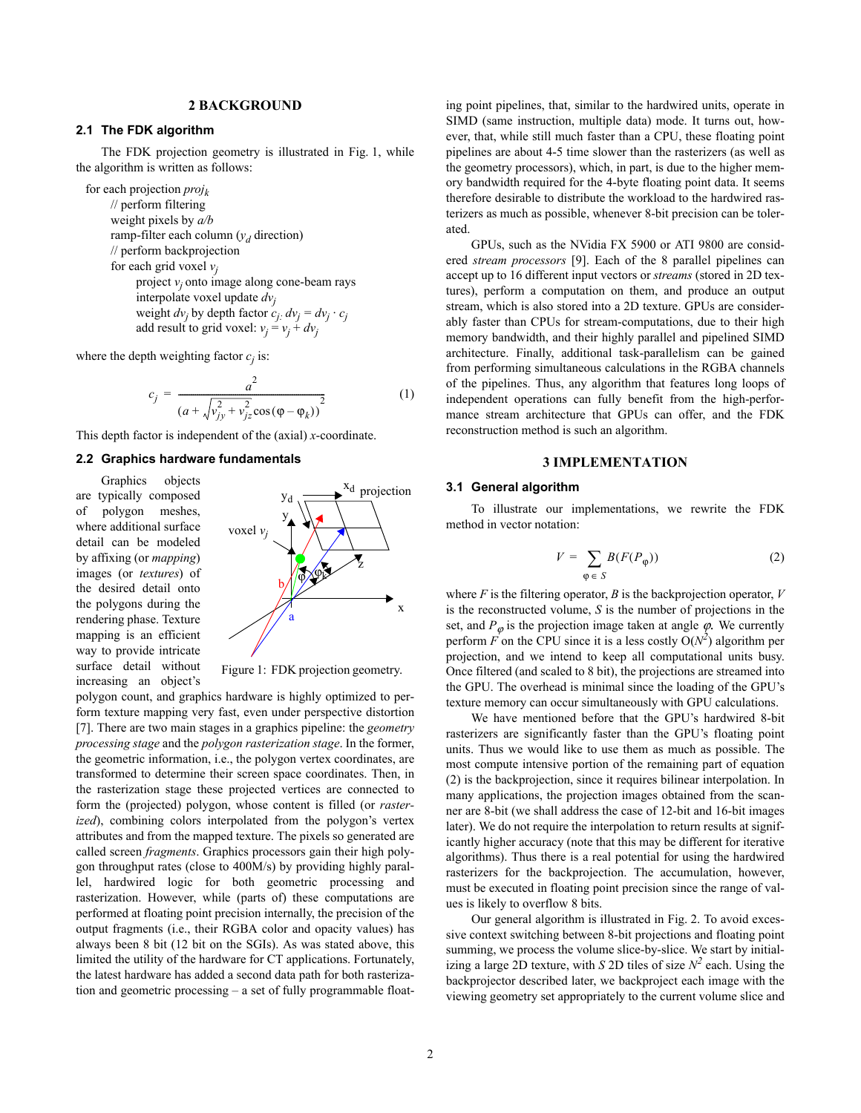### **2 BACKGROUND**

# **2.1 The FDK algorithm**

The FDK projection geometry is illustrated in Fig. 1, while the algorithm is written as follows:

for each projection *projk* // perform filtering weight pixels by *a/b* ramp-filter each column (*yd* direction) // perform backprojection for each grid voxel  $v_i$ project *vj* onto image along cone-beam rays interpolate voxel update *dvj* weight  $dv_j$  by depth factor  $c_j$   $dv_j = dv_j \cdot c_j$ add result to grid voxel:  $v_j = v_j + dv_j$ 

where the depth weighting factor  $c_j$  is:

$$
c_j = \frac{a^2}{(a + \sqrt{v_{jy}^2 + v_{jz}^2} \cos(\varphi - \varphi_k))^2}
$$
 (1)

This depth factor is independent of the (axial) *x*-coordinate.

### **2.2 Graphics hardware fundamentals**

Graphics objects are typically composed of polygon meshes, where additional surface detail can be modeled by affixing (or *mapping*) images (or *textures*) of the desired detail onto the polygons during the rendering phase. Texture mapping is an efficient way to provide intricate surface detail without increasing an object's



Figure 1: FDK projection geometry.

polygon count, and graphics hardware is highly optimized to perform texture mapping very fast, even under perspective distortion [7]. There are two main stages in a graphics pipeline: the *geometry processing stage* and the *polygon rasterization stage*. In the former, the geometric information, i.e., the polygon vertex coordinates, are transformed to determine their screen space coordinates. Then, in the rasterization stage these projected vertices are connected to form the (projected) polygon, whose content is filled (or *rasterized*), combining colors interpolated from the polygon's vertex attributes and from the mapped texture. The pixels so generated are called screen *fragments*. Graphics processors gain their high polygon throughput rates (close to 400M/s) by providing highly parallel, hardwired logic for both geometric processing and rasterization. However, while (parts of) these computations are performed at floating point precision internally, the precision of the output fragments (i.e., their RGBA color and opacity values) has always been 8 bit (12 bit on the SGIs). As was stated above, this limited the utility of the hardware for CT applications. Fortunately, the latest hardware has added a second data path for both rasterization and geometric processing – a set of fully programmable float-

ing point pipelines, that, similar to the hardwired units, operate in SIMD (same instruction, multiple data) mode. It turns out, however, that, while still much faster than a CPU, these floating point pipelines are about 4-5 time slower than the rasterizers (as well as the geometry processors), which, in part, is due to the higher memory bandwidth required for the 4-byte floating point data. It seems therefore desirable to distribute the workload to the hardwired rasterizers as much as possible, whenever 8-bit precision can be tolerated.

GPUs, such as the NVidia FX 5900 or ATI 9800 are considered *stream processors* [9]. Each of the 8 parallel pipelines can accept up to 16 different input vectors or *streams* (stored in 2D textures), perform a computation on them, and produce an output stream, which is also stored into a 2D texture. GPUs are considerably faster than CPUs for stream-computations, due to their high memory bandwidth, and their highly parallel and pipelined SIMD architecture. Finally, additional task-parallelism can be gained from performing simultaneous calculations in the RGBA channels of the pipelines. Thus, any algorithm that features long loops of independent operations can fully benefit from the high-performance stream architecture that GPUs can offer, and the FDK reconstruction method is such an algorithm.

## **3 IMPLEMENTATION**

### **3.1 General algorithm**

To illustrate our implementations, we rewrite the FDK method in vector notation:

$$
V = \sum_{\varphi \in S} B(F(P_{\varphi}))
$$
 (2)

where  $F$  is the filtering operator,  $B$  is the backprojection operator,  $V$ is the reconstructed volume, *S* is the number of projections in the set, and  $P_{\varphi}$  is the projection image taken at angle  $\varphi$ . We currently perform  $\vec{F}$  on the CPU since it is a less costly  $O(N^2)$  algorithm per projection, and we intend to keep all computational units busy. Once filtered (and scaled to 8 bit), the projections are streamed into the GPU. The overhead is minimal since the loading of the GPU's texture memory can occur simultaneously with GPU calculations.

We have mentioned before that the GPU's hardwired 8-bit rasterizers are significantly faster than the GPU's floating point units. Thus we would like to use them as much as possible. The most compute intensive portion of the remaining part of equation (2) is the backprojection, since it requires bilinear interpolation. In many applications, the projection images obtained from the scanner are 8-bit (we shall address the case of 12-bit and 16-bit images later). We do not require the interpolation to return results at significantly higher accuracy (note that this may be different for iterative algorithms). Thus there is a real potential for using the hardwired rasterizers for the backprojection. The accumulation, however, must be executed in floating point precision since the range of values is likely to overflow 8 bits.

Our general algorithm is illustrated in Fig. 2. To avoid excessive context switching between 8-bit projections and floating point summing, we process the volume slice-by-slice. We start by initializing a large 2D texture, with *S* 2D tiles of size  $N^2$  each. Using the backprojector described later, we backproject each image with the viewing geometry set appropriately to the current volume slice and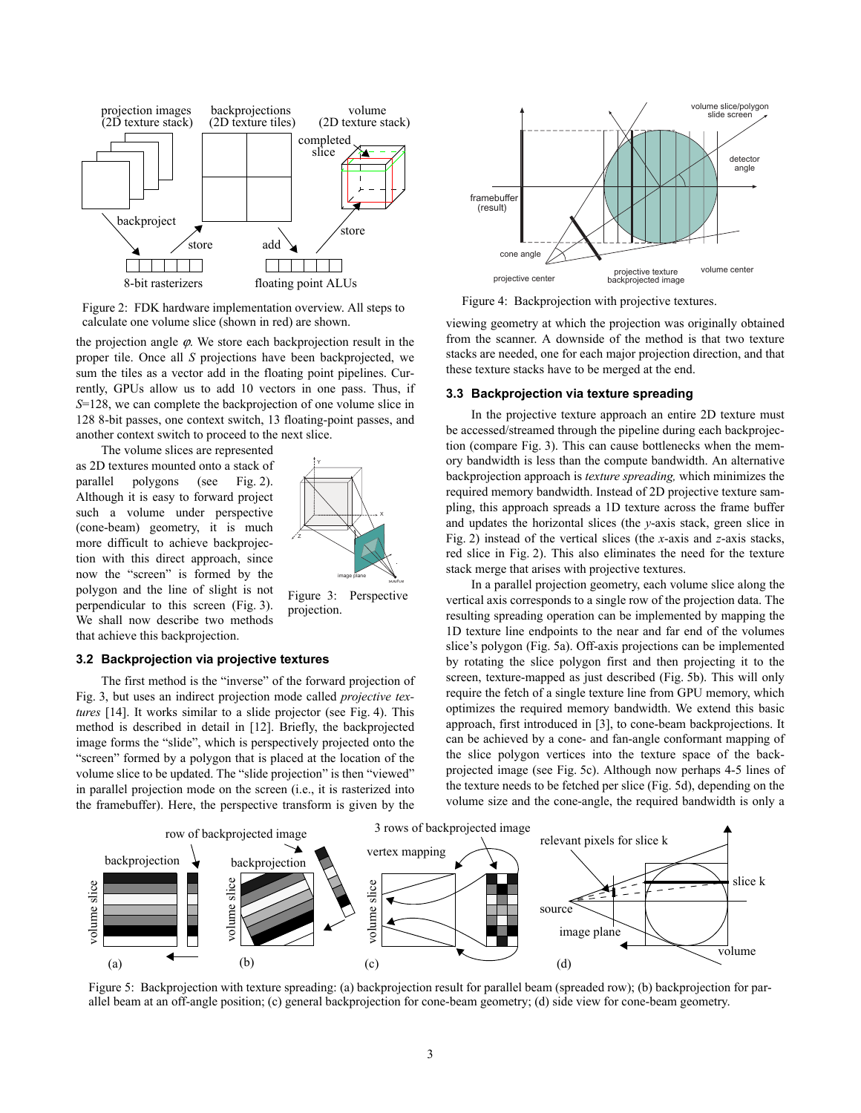

Figure 2: FDK hardware implementation overview. All steps to calculate one volume slice (shown in red) are shown.

the projection angle  $\varphi$ . We store each backprojection result in the proper tile. Once all *S* projections have been backprojected, we sum the tiles as a vector add in the floating point pipelines. Currently, GPUs allow us to add 10 vectors in one pass. Thus, if *S*=128, we can complete the backprojection of one volume slice in 128 8-bit passes, one context switch, 13 floating-point passes, and another context switch to proceed to the next slice.

The volume slices are represented

as 2D textures mounted onto a stack of parallel polygons (see Fig. 2). Although it is easy to forward project such a volume under perspective (cone-beam) geometry, it is much more difficult to achieve backprojection with this direct approach, since now the "screen" is formed by the polygon and the line of slight is not perpendicular to this screen (Fig. 3). We shall now describe two methods that achieve this backprojection.



Figure 3: Perspective projection.

#### **3.2 Backprojection via projective textures**

The first method is the "inverse" of the forward projection of Fig. 3, but uses an indirect projection mode called *projective textures* [14]. It works similar to a slide projector (see Fig. 4). This method is described in detail in [12]. Briefly, the backprojected image forms the "slide", which is perspectively projected onto the "screen" formed by a polygon that is placed at the location of the volume slice to be updated. The "slide projection" is then "viewed" in parallel projection mode on the screen (i.e., it is rasterized into the framebuffer). Here, the perspective transform is given by the



Figure 4: Backprojection with projective textures.

viewing geometry at which the projection was originally obtained from the scanner. A downside of the method is that two texture stacks are needed, one for each major projection direction, and that these texture stacks have to be merged at the end.

#### **3.3 Backprojection via texture spreading**

In the projective texture approach an entire 2D texture must be accessed/streamed through the pipeline during each backprojection (compare Fig. 3). This can cause bottlenecks when the memory bandwidth is less than the compute bandwidth. An alternative backprojection approach is *texture spreading,* which minimizes the required memory bandwidth. Instead of 2D projective texture sampling, this approach spreads a 1D texture across the frame buffer and updates the horizontal slices (the *y*-axis stack, green slice in Fig. 2) instead of the vertical slices (the *x*-axis and *z*-axis stacks, red slice in Fig. 2). This also eliminates the need for the texture stack merge that arises with projective textures.

In a parallel projection geometry, each volume slice along the vertical axis corresponds to a single row of the projection data. The resulting spreading operation can be implemented by mapping the 1D texture line endpoints to the near and far end of the volumes slice's polygon (Fig. 5a). Off-axis projections can be implemented by rotating the slice polygon first and then projecting it to the screen, texture-mapped as just described (Fig. 5b). This will only require the fetch of a single texture line from GPU memory, which optimizes the required memory bandwidth. We extend this basic approach, first introduced in [3], to cone-beam backprojections. It can be achieved by a cone- and fan-angle conformant mapping of the slice polygon vertices into the texture space of the backprojected image (see Fig. 5c). Although now perhaps 4-5 lines of the texture needs to be fetched per slice (Fig. 5d), depending on the volume size and the cone-angle, the required bandwidth is only a



Figure 5: Backprojection with texture spreading: (a) backprojection result for parallel beam (spreaded row); (b) backprojection for parallel beam at an off-angle position; (c) general backprojection for cone-beam geometry; (d) side view for cone-beam geometry.